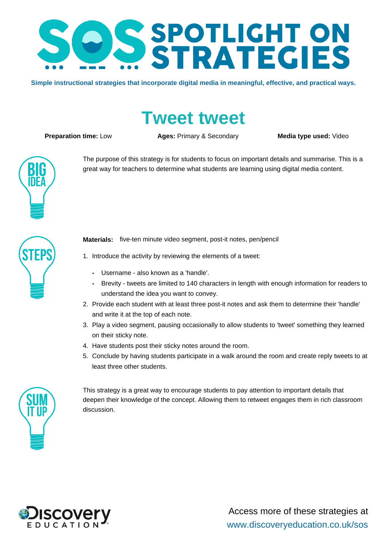

**Simple instructional strategies that incorporate digital media in meaningful, effective, and practical ways.**

## **Tweet tweet**

**Preparation time:** Low **Ages: Primary & Secondary <b>Media type used:** Video



great way for teachers to determine what students are learning using digital media content.

The purpose of this strategy is for students to focus on important details and summarise. This is a



**Materials:** five-ten minute video segment, post-it notes, pen/pencil

- 1. Introduce the activity by reviewing the elements of a tweet:
	- **-** Username also known as a 'handle'.
	- **-** Brevity tweets are limited to 140 characters in length with enough information for readers to understand the idea you want to convey.
- 2. Provide each student with at least three post-it notes and ask them to determine their 'handle' and write it at the top of each note.
- 3. Play a video segment, pausing occasionally to allow students to 'tweet' something they learned on their sticky note.
- 4. Have students post their sticky notes around the room.
- 5. Conclude by having students participate in a walk around the room and create reply tweets to at least three other students.



This strategy is a great way to encourage students to pay attention to important details that deepen their knowledge of the concept. Allowing them to retweet engages them in rich classroom discussion.

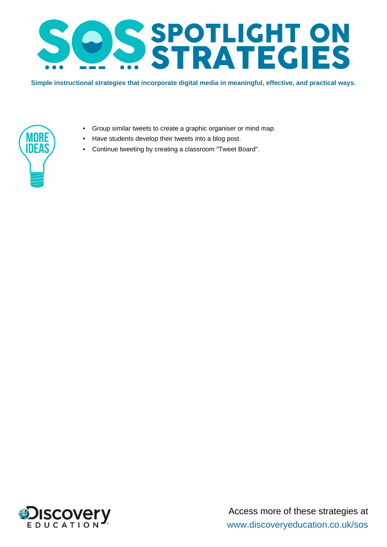

**Simple instructional strategies that incorporate digital media in meaningful, effective, and practical ways.**



- Group similar tweets to create a graphic organiser or mind map.
- Have students develop their tweets into a blog post.
- Continue tweeting by creating a classroom "Tweet Board".